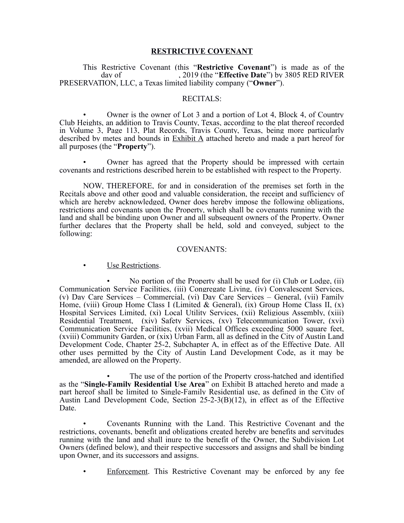### **RESTRICTIVE COVENANT**

This Restrictive Covenant (this "**Restrictive Covenant**") is made as of the \_\_\_\_\_\_\_\_\_\_ day of \_\_\_\_\_\_\_\_\_\_\_\_\_\_, 2019 (the "**Effective Date**") by 3805 RED RIVER PRESERVATION, LLC, a Texas limited liability company ("**Owner**").

#### RECITALS:

• Owner is the owner of Lot 3 and a portion of Lot 4, Block 4, of Country Club Heights, an addition to Travis County, Texas, according to the plat thereof recorded in Volume 3, Page 113, Plat Records, Travis County, Texas, being more particularly described by metes and bounds in Exhibit A attached hereto and made a part hereof for all purposes (the "**Property**").

• Owner has agreed that the Property should be impressed with certain covenants and restrictions described herein to be established with respect to the Property.

NOW, THEREFORE, for and in consideration of the premises set forth in the Recitals above and other good and valuable consideration, the receipt and sufficiency of which are hereby acknowledged, Owner does hereby impose the following obligations, restrictions and covenants upon the Property, which shall be covenants running with the land and shall be binding upon Owner and all subsequent owners of the Property. Owner further declares that the Property shall be held, sold and conveyed, subject to the following:

#### COVENANTS:

• Use Restrictions.

• No portion of the Property shall be used for (i) Club or Lodge, (ii) Communication Service Facilities, (iii) Congregate Living, (iv) Convalescent Services, (v) Day Care Services – Commercial, (vi) Day Care Services – General, (vii) Family Home, (viii) Group Home Class I (Limited & General), (ix) Group Home Class II, (x) Hospital Services Limited, (xi) Local Utility Services, (xii) Religious Assembly, (xiii) Residential Treatment, (xiv) Safety Services, (xv) Telecommunication Tower, (xvi) Communication Service Facilities, (xvii) Medical Offices exceeding 5000 square feet, (xviii) Community Garden, or (xix) Urban Farm, all as defined in the City of Austin Land Development Code, Chapter 25-2, Subchapter A, in effect as of the Effective Date. All other uses permitted by the City of Austin Land Development Code, as it may be amended, are allowed on the Property.

The use of the portion of the Property cross-hatched and identified as the "**Single-Family Residential Use Area**" on Exhibit B attached hereto and made a part hereof shall be limited to Single-Family Residential use, as defined in the City of Austin Land Development Code, Section 25-2-3(B)(12), in effect as of the Effective Date.

• Covenants Running with the Land. This Restrictive Covenant and the restrictions, covenants, benefit and obligations created hereby are benefits and servitudes running with the land and shall inure to the benefit of the Owner, the Subdivision Lot Owners (defined below), and their respective successors and assigns and shall be binding upon Owner, and its successors and assigns.

• Enforcement. This Restrictive Covenant may be enforced by any fee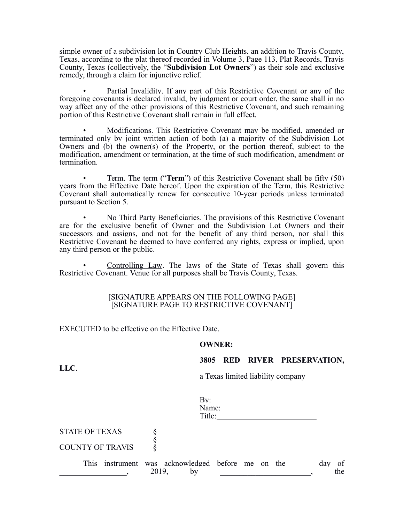simple owner of a subdivision lot in Country Club Heights, an addition to Travis County, Texas, according to the plat thereof recorded in Volume 3, Page 113, Plat Records, Travis County, Texas (collectively, the "**Subdivision Lot Owners**") as their sole and exclusive remedy, through a claim for injunctive relief.

Partial Invalidity. If any part of this Restrictive Covenant or any of the foregoing covenants is declared invalid, by judgment or court order, the same shall in no way affect any of the other provisions of this Restrictive Covenant, and such remaining portion of this Restrictive Covenant shall remain in full effect.

• Modifications. This Restrictive Covenant may be modified, amended or terminated only by joint written action of both (a) a majority of the Subdivision Lot Owners and (b) the owner(s) of the Property, or the portion thereof, subject to the modification, amendment or termination, at the time of such modification, amendment or termination.

• Term. The term ("**Term**") of this Restrictive Covenant shall be fifty (50) years from the Effective Date hereof. Upon the expiration of the Term, this Restrictive Covenant shall automatically renew for consecutive 10-year periods unless terminated pursuant to Section 5.

• No Third Party Beneficiaries. The provisions of this Restrictive Covenant are for the exclusive benefit of Owner and the Subdivision Lot Owners and their successors and assigns, and not for the benefit of any third person, nor shall this Restrictive Covenant be deemed to have conferred any rights, express or implied, upon any third person or the public.

• Controlling Law. The laws of the State of Texas shall govern this Restrictive Covenant. Venue for all purposes shall be Travis County, Texas.

## [SIGNATURE APPEARS ON THE FOLLOWING PAGE] [SIGNATURE PAGE TO RESTRICTIVE COVENANT]

EXECUTED to be effective on the Effective Date.

#### **OWNER:**

## **3805 RED RIVER PRESERVATION,**

**LLC**,

STATE OF TEXAS

COUNTY OF TRAVIS §

|  |  | a Texas limited liability company |
|--|--|-----------------------------------|
|  |  |                                   |

| Name:  |  |
|--------|--|
| Title: |  |
|        |  |
|        |  |
|        |  |

| <b>This</b> | instrument was acknowledged before me on the |      |  |  |  | dav |     |
|-------------|----------------------------------------------|------|--|--|--|-----|-----|
|             |                                              | 2019 |  |  |  |     | the |